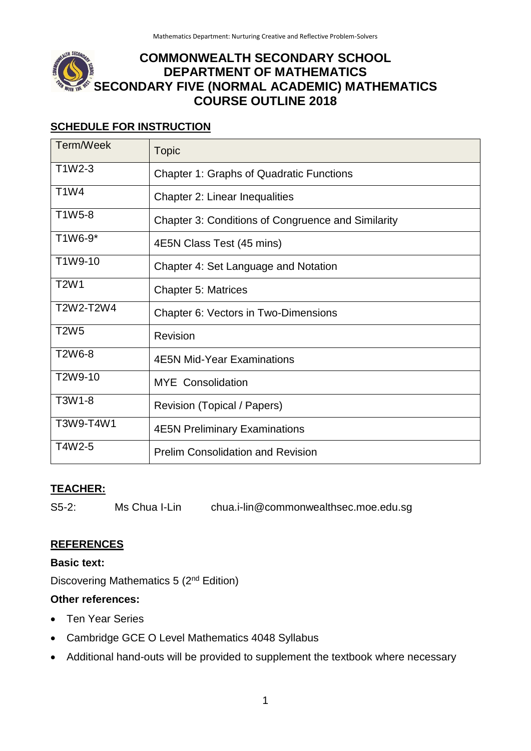# **COMMONWEALTH SECONDARY SCHOOL DEPARTMENT OF MATHEMATICS SECONDARY FIVE (NORMAL ACADEMIC) MATHEMATICS COURSE OUTLINE 2018**

#### **SCHEDULE FOR INSTRUCTION**

| Term/Week                        | <b>Topic</b>                                       |  |
|----------------------------------|----------------------------------------------------|--|
| T1W2-3                           | <b>Chapter 1: Graphs of Quadratic Functions</b>    |  |
| <b>T1W4</b>                      | <b>Chapter 2: Linear Inequalities</b>              |  |
| T1W5-8                           | Chapter 3: Conditions of Congruence and Similarity |  |
| T1W6-9*                          | 4E5N Class Test (45 mins)                          |  |
| T1W9-10                          | Chapter 4: Set Language and Notation               |  |
| T <sub>2</sub> W <sub>1</sub>    | <b>Chapter 5: Matrices</b>                         |  |
| T2W2-T2W4                        | Chapter 6: Vectors in Two-Dimensions               |  |
| <b>T2W5</b>                      | Revision                                           |  |
| T <sub>2</sub> W <sub>6</sub> -8 | <b>4E5N Mid-Year Examinations</b>                  |  |
| T2W9-10                          | <b>MYE</b> Consolidation                           |  |
| T3W1-8                           | Revision (Topical / Papers)                        |  |
| T3W9-T4W1                        | <b>4E5N Preliminary Examinations</b>               |  |
| T4W2-5                           | <b>Prelim Consolidation and Revision</b>           |  |

### **TEACHER:**

S5-2: Ms Chua I-Lin chua.i-lin@commonwealthsec.moe.edu.sg

#### **REFERENCES**

**Basic text:**

Discovering Mathematics 5 (2nd Edition)

#### **Other references:**

- Ten Year Series
- Cambridge GCE O Level Mathematics 4048 Syllabus
- Additional hand-outs will be provided to supplement the textbook where necessary